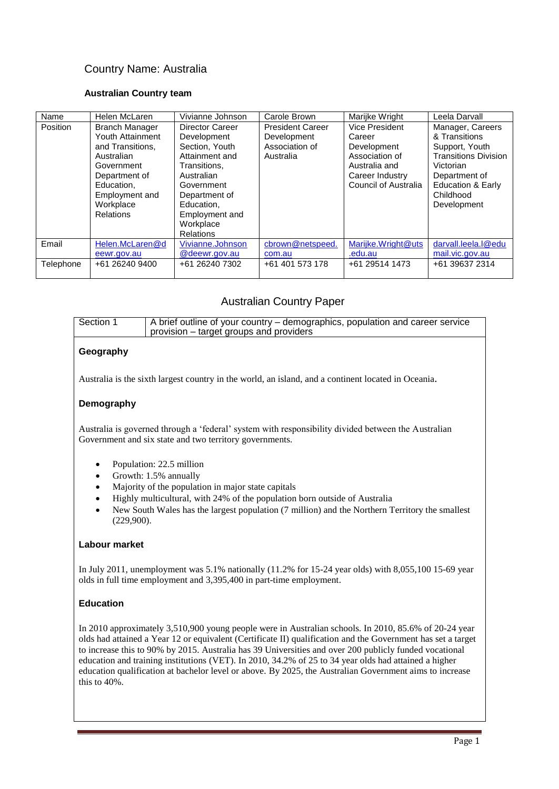# Country Name: Australia

### **Australian Country team**

| Name      | Helen McLaren                                                                                                                                                        | Vivianne Johnson                                                                                                                                                                          | Carole Brown                                                          | Marijke Wright                                                                                                        | Leela Darvall                                                                                                                                                                |
|-----------|----------------------------------------------------------------------------------------------------------------------------------------------------------------------|-------------------------------------------------------------------------------------------------------------------------------------------------------------------------------------------|-----------------------------------------------------------------------|-----------------------------------------------------------------------------------------------------------------------|------------------------------------------------------------------------------------------------------------------------------------------------------------------------------|
| Position  | <b>Branch Manager</b><br>Youth Attainment<br>and Transitions.<br>Australian<br>Government<br>Department of<br>Education.<br>Employment and<br>Workplace<br>Relations | Director Career<br>Development<br>Section, Youth<br>Attainment and<br>Transitions.<br>Australian<br>Government<br>Department of<br>Education,<br>Employment and<br>Workplace<br>Relations | <b>President Career</b><br>Development<br>Association of<br>Australia | Vice President<br>Career<br>Development<br>Association of<br>Australia and<br>Career Industry<br>Council of Australia | Manager, Careers<br>& Transitions<br>Support, Youth<br><b>Transitions Division</b><br>Victorian<br>Department of<br><b>Education &amp; Early</b><br>Childhood<br>Development |
| Email     | Helen.McLaren@d<br>eewr.gov.au                                                                                                                                       | Vivianne.Johnson<br>@deewr.gov.au                                                                                                                                                         | cbrown@netspeed.<br>com.au                                            | Marijke.Wright@uts<br>.edu.au                                                                                         | darvall.leela.l@edu<br>mail.vic.gov.au                                                                                                                                       |
| Telephone | +61 26240 9400                                                                                                                                                       | +61 26240 7302                                                                                                                                                                            | +61 401 573 178                                                       | +61 29514 1473                                                                                                        | +61 39637 2314                                                                                                                                                               |

# Australian Country Paper

| Section 1 | $\sqrt{A}$ brief outline of your country – demographics, population and career service |
|-----------|----------------------------------------------------------------------------------------|
|           | provision – target groups and providers                                                |
|           |                                                                                        |

## **Geography**

Australia is the [sixth largest country](http://en.wikipedia.org/wiki/List_of_countries_and_outlying_territories_by_total_area) in the world, an island, and a continent located in [Oceania](http://en.wikipedia.org/wiki/Oceania).

### **Demography**

Australia is governed through a 'federal' system with responsibility divided between the Australian Government and six state and two territory governments.

- Population: 22.5 million
- Growth: 1.5% annually
- Majority of the population in major state capitals
- Highly multicultural, with 24% of the population born outside of Australia
- New South Wales has the largest population (7 million) and the Northern Territory the smallest (229,900).

#### **Labour market**

In July 2011, unemployment was 5.1% nationally (11.2% for 15-24 year olds) with 8,055,100 15-69 year olds in full time employment and 3,395,400 in part-time employment.

### **Education**

In 2010 approximately 3,510,900 young people were in Australian schools. In 2010, 85.6% of 20-24 year olds had attained a Year 12 or equivalent (Certificate II) qualification and the Government has set a target to increase this to 90% by 2015. Australia has 39 Universities and over 200 publicly funded vocational education and training institutions (VET). In 2010, 34.2% of 25 to 34 year olds had attained a higher education qualification at bachelor level or above. By 2025, the Australian Government aims to increase this to 40%.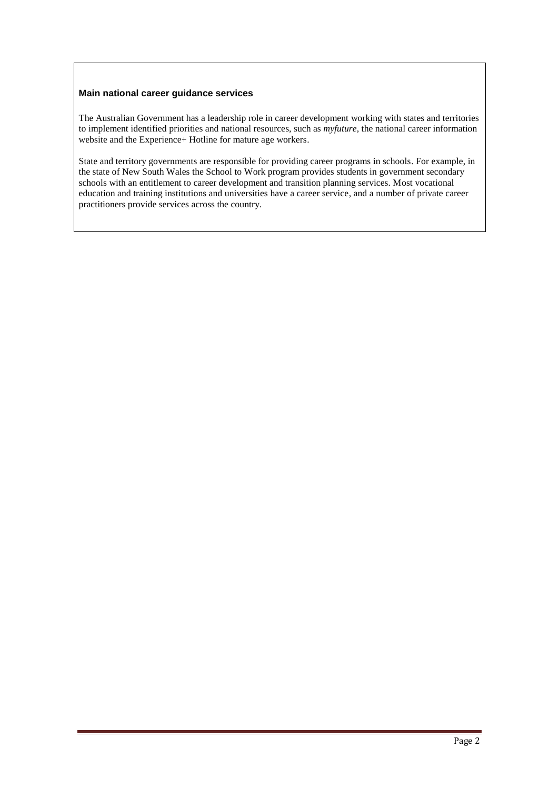### **Main national career guidance services**

The Australian Government has a leadership role in career development working with states and territories to implement identified priorities and national resources, such as *myfuture*, the national career information website and the Experience+ Hotline for mature age workers.

State and territory governments are responsible for providing career programs in schools. For example, in the state of New South Wales the School to Work program provides students in government secondary schools with an entitlement to career development and transition planning services. Most vocational education and training institutions and universities have a career service, and a number of private career practitioners provide services across the country.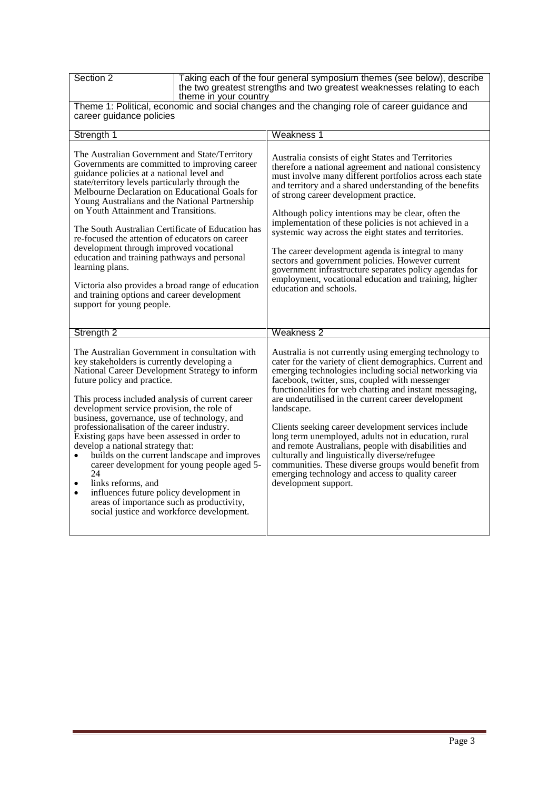| Section 2                                                                                                                                                                                                                                                                                                                                                                                                                                                                                                                                                                                                                                                                                                                           |  | Taking each of the four general symposium themes (see below), describe<br>the two greatest strengths and two greatest weaknesses relating to each                                                                                                                                                                                                                                                                                                                                                                                                                                                                                                                                                                           |  |
|-------------------------------------------------------------------------------------------------------------------------------------------------------------------------------------------------------------------------------------------------------------------------------------------------------------------------------------------------------------------------------------------------------------------------------------------------------------------------------------------------------------------------------------------------------------------------------------------------------------------------------------------------------------------------------------------------------------------------------------|--|-----------------------------------------------------------------------------------------------------------------------------------------------------------------------------------------------------------------------------------------------------------------------------------------------------------------------------------------------------------------------------------------------------------------------------------------------------------------------------------------------------------------------------------------------------------------------------------------------------------------------------------------------------------------------------------------------------------------------------|--|
| theme in your country<br>career guidance policies                                                                                                                                                                                                                                                                                                                                                                                                                                                                                                                                                                                                                                                                                   |  | Theme 1: Political, economic and social changes and the changing role of career guidance and                                                                                                                                                                                                                                                                                                                                                                                                                                                                                                                                                                                                                                |  |
|                                                                                                                                                                                                                                                                                                                                                                                                                                                                                                                                                                                                                                                                                                                                     |  | Weakness 1                                                                                                                                                                                                                                                                                                                                                                                                                                                                                                                                                                                                                                                                                                                  |  |
| Strength 1<br>The Australian Government and State/Territory<br>Governments are committed to improving career<br>guidance policies at a national level and<br>state/territory levels particularly through the<br>Melbourne Declaration on Educational Goals for<br>Young Australians and the National Partnership<br>on Youth Attainment and Transitions.<br>The South Australian Certificate of Education has<br>re-focused the attention of educators on career<br>development through improved vocational<br>education and training pathways and personal<br>learning plans.<br>Victoria also provides a broad range of education<br>and training options and career development<br>support for young people.                     |  | Australia consists of eight States and Territories<br>therefore a national agreement and national consistency<br>must involve many different portfolios across each state<br>and territory and a shared understanding of the benefits<br>of strong career development practice.<br>Although policy intentions may be clear, often the<br>implementation of these policies is not achieved in a<br>systemic way across the eight states and territories.<br>The career development agenda is integral to many<br>sectors and government policies. However current<br>government infrastructure separates policy agendas for<br>employment, vocational education and training, higher<br>education and schools.               |  |
| Strength <sub>2</sub>                                                                                                                                                                                                                                                                                                                                                                                                                                                                                                                                                                                                                                                                                                               |  | Weakness <sub>2</sub>                                                                                                                                                                                                                                                                                                                                                                                                                                                                                                                                                                                                                                                                                                       |  |
| The Australian Government in consultation with<br>key stakeholders is currently developing a<br>National Career Development Strategy to inform<br>future policy and practice.<br>This process included analysis of current career<br>development service provision, the role of<br>business, governance, use of technology, and<br>professionalisation of the career industry.<br>Existing gaps have been assessed in order to<br>develop a national strategy that:<br>builds on the current landscape and improves<br>career development for young people aged 5-<br>24<br>links reforms, and<br>influences future policy development in<br>areas of importance such as productivity,<br>social justice and workforce development. |  | Australia is not currently using emerging technology to<br>cater for the variety of client demographics. Current and<br>emerging technologies including social networking via<br>facebook, twitter, sms, coupled with messenger<br>functionalities for web chatting and instant messaging,<br>are underutilised in the current career development<br>landscape.<br>Clients seeking career development services include<br>long term unemployed, adults not in education, rural<br>and remote Australians, people with disabilities and<br>culturally and linguistically diverse/refugee<br>communities. These diverse groups would benefit from<br>emerging technology and access to quality career<br>development support. |  |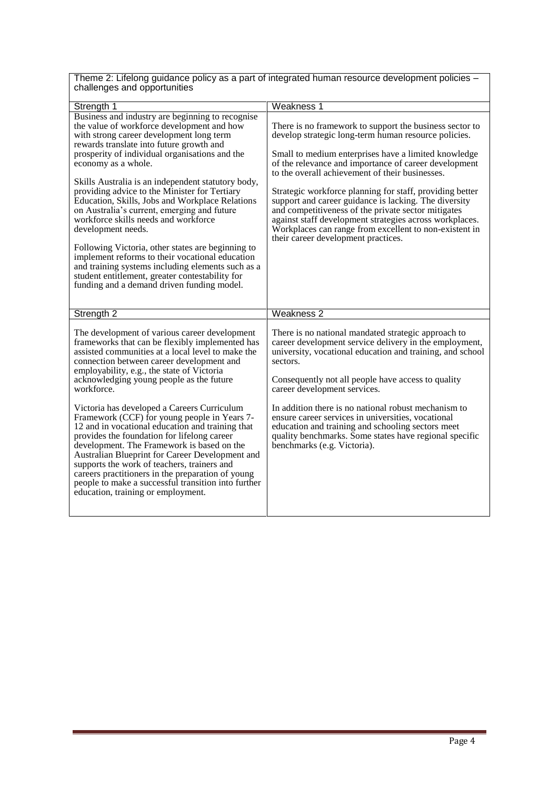Theme 2: Lifelong guidance policy as a part of integrated human resource development policies – challenges and opportunities

| Strength 1                                                                                                                                                                                                                                                                                                                                                                                                                                                                                                                                                                                                                                                                                                                                                                                           | Weakness 1                                                                                                                                                                                                                                                                                                                                                                                                                                                                                                                                                                                                                  |
|------------------------------------------------------------------------------------------------------------------------------------------------------------------------------------------------------------------------------------------------------------------------------------------------------------------------------------------------------------------------------------------------------------------------------------------------------------------------------------------------------------------------------------------------------------------------------------------------------------------------------------------------------------------------------------------------------------------------------------------------------------------------------------------------------|-----------------------------------------------------------------------------------------------------------------------------------------------------------------------------------------------------------------------------------------------------------------------------------------------------------------------------------------------------------------------------------------------------------------------------------------------------------------------------------------------------------------------------------------------------------------------------------------------------------------------------|
|                                                                                                                                                                                                                                                                                                                                                                                                                                                                                                                                                                                                                                                                                                                                                                                                      |                                                                                                                                                                                                                                                                                                                                                                                                                                                                                                                                                                                                                             |
| Business and industry are beginning to recognise<br>the value of workforce development and how<br>with strong career development long term<br>rewards translate into future growth and<br>prosperity of individual organisations and the<br>economy as a whole.<br>Skills Australia is an independent statutory body,<br>providing advice to the Minister for Tertiary<br>Education, Skills, Jobs and Workplace Relations<br>on Australia's current, emerging and future<br>workforce skills needs and workforce<br>development needs.<br>Following Victoria, other states are beginning to<br>implement reforms to their vocational education<br>and training systems including elements such as a<br>student entitlement, greater contestability for<br>funding and a demand driven funding model. | There is no framework to support the business sector to<br>develop strategic long-term human resource policies.<br>Small to medium enterprises have a limited knowledge<br>of the relevance and importance of career development<br>to the overall achievement of their businesses.<br>Strategic workforce planning for staff, providing better<br>support and career guidance is lacking. The diversity<br>and competitiveness of the private sector mitigates<br>against staff development strategies across workplaces.<br>Workplaces can range from excellent to non-existent in<br>their career development practices. |
|                                                                                                                                                                                                                                                                                                                                                                                                                                                                                                                                                                                                                                                                                                                                                                                                      |                                                                                                                                                                                                                                                                                                                                                                                                                                                                                                                                                                                                                             |
|                                                                                                                                                                                                                                                                                                                                                                                                                                                                                                                                                                                                                                                                                                                                                                                                      |                                                                                                                                                                                                                                                                                                                                                                                                                                                                                                                                                                                                                             |
| Strength <sub>2</sub>                                                                                                                                                                                                                                                                                                                                                                                                                                                                                                                                                                                                                                                                                                                                                                                | Weakness <sub>2</sub>                                                                                                                                                                                                                                                                                                                                                                                                                                                                                                                                                                                                       |
| The development of various career development<br>frameworks that can be flexibly implemented has<br>assisted communities at a local level to make the<br>connection between career development and<br>employability, e.g., the state of Victoria<br>acknowledging young people as the future<br>workforce.                                                                                                                                                                                                                                                                                                                                                                                                                                                                                           | There is no national mandated strategic approach to<br>career development service delivery in the employment,<br>university, vocational education and training, and school<br>sectors.<br>Consequently not all people have access to quality<br>career development services.                                                                                                                                                                                                                                                                                                                                                |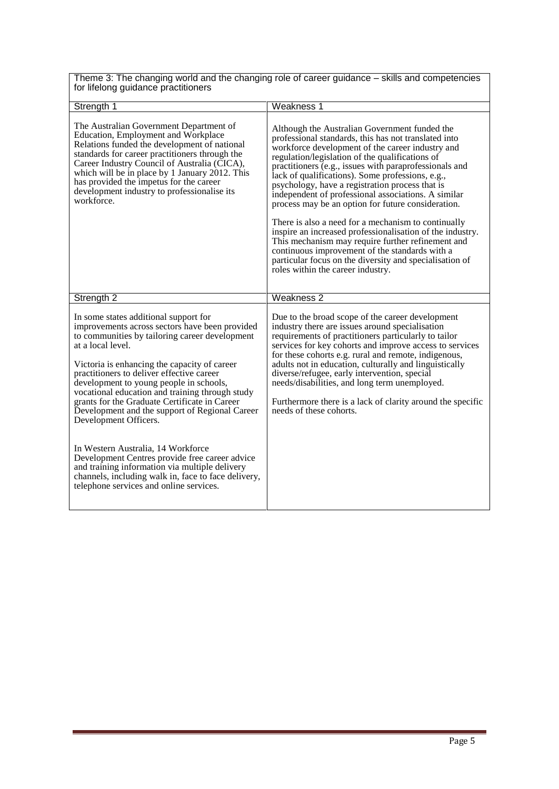| Theme 3: The changing world and the changing role of career guidance - skills and competencies |  |
|------------------------------------------------------------------------------------------------|--|
| for lifelong guidance practitioners                                                            |  |

 $\overline{\Gamma}$ 

| Strength 1                                                                                                                                                                                                                                                                                                                                                                                                                                                                                                                                                                                                                                                                                                                        | <b>Weakness 1</b>                                                                                                                                                                                                                                                                                                                                                                                                                                                                                                                                                                                                                                                                                                                                                                                                     |
|-----------------------------------------------------------------------------------------------------------------------------------------------------------------------------------------------------------------------------------------------------------------------------------------------------------------------------------------------------------------------------------------------------------------------------------------------------------------------------------------------------------------------------------------------------------------------------------------------------------------------------------------------------------------------------------------------------------------------------------|-----------------------------------------------------------------------------------------------------------------------------------------------------------------------------------------------------------------------------------------------------------------------------------------------------------------------------------------------------------------------------------------------------------------------------------------------------------------------------------------------------------------------------------------------------------------------------------------------------------------------------------------------------------------------------------------------------------------------------------------------------------------------------------------------------------------------|
| The Australian Government Department of<br>Education, Employment and Workplace<br>Relations funded the development of national<br>standards for career practitioners through the<br>Career Industry Council of Australia (CICA),<br>which will be in place by 1 January 2012. This<br>has provided the impetus for the career<br>development industry to professionalise its<br>workforce.                                                                                                                                                                                                                                                                                                                                        | Although the Australian Government funded the<br>professional standards, this has not translated into<br>workforce development of the career industry and<br>regulation/legislation of the qualifications of<br>practitioners (e.g., issues with paraprofessionals and<br>lack of qualifications). Some professions, e.g.,<br>psychology, have a registration process that is<br>independent of professional associations. A similar<br>process may be an option for future consideration.<br>There is also a need for a mechanism to continually<br>inspire an increased professionalisation of the industry.<br>This mechanism may require further refinement and<br>continuous improvement of the standards with a<br>particular focus on the diversity and specialisation of<br>roles within the career industry. |
| Strength 2                                                                                                                                                                                                                                                                                                                                                                                                                                                                                                                                                                                                                                                                                                                        | Weakness <sub>2</sub>                                                                                                                                                                                                                                                                                                                                                                                                                                                                                                                                                                                                                                                                                                                                                                                                 |
| In some states additional support for<br>improvements across sectors have been provided<br>to communities by tailoring career development<br>at a local level.<br>Victoria is enhancing the capacity of career<br>practitioners to deliver effective career<br>development to young people in schools,<br>vocational education and training through study<br>grants for the Graduate Certificate in Career<br>Development and the support of Regional Career<br>Development Officers.<br>In Western Australia, 14 Workforce<br>Development Centres provide free career advice<br>and training information via multiple delivery<br>channels, including walk in, face to face delivery,<br>telephone services and online services. | Due to the broad scope of the career development<br>industry there are issues around specialisation<br>requirements of practitioners particularly to tailor<br>services for key cohorts and improve access to services<br>for these cohorts e.g. rural and remote, indigenous,<br>adults not in education, culturally and linguistically<br>diverse/refugee, early intervention, special<br>needs/disabilities, and long term unemployed.<br>Furthermore there is a lack of clarity around the specific<br>needs of these cohorts.                                                                                                                                                                                                                                                                                    |
|                                                                                                                                                                                                                                                                                                                                                                                                                                                                                                                                                                                                                                                                                                                                   |                                                                                                                                                                                                                                                                                                                                                                                                                                                                                                                                                                                                                                                                                                                                                                                                                       |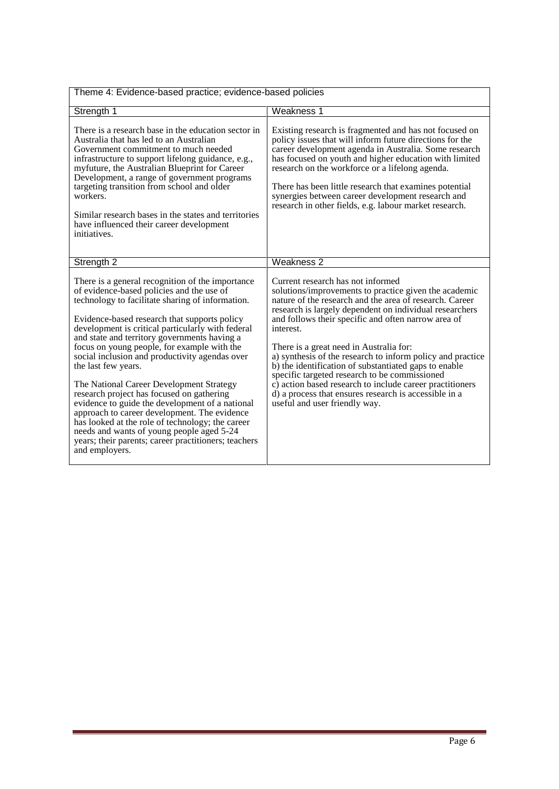| Theme 4: Evidence-based practice; evidence-based policies                                                                                                                                                                                                                                                                                                                                                                                                                                                                                                                                                                                                                                                                                                                                             |                                                                                                                                                                                                                                                                                                                                                                                                                                                                                                                                                                                                                                                               |
|-------------------------------------------------------------------------------------------------------------------------------------------------------------------------------------------------------------------------------------------------------------------------------------------------------------------------------------------------------------------------------------------------------------------------------------------------------------------------------------------------------------------------------------------------------------------------------------------------------------------------------------------------------------------------------------------------------------------------------------------------------------------------------------------------------|---------------------------------------------------------------------------------------------------------------------------------------------------------------------------------------------------------------------------------------------------------------------------------------------------------------------------------------------------------------------------------------------------------------------------------------------------------------------------------------------------------------------------------------------------------------------------------------------------------------------------------------------------------------|
| Strength 1                                                                                                                                                                                                                                                                                                                                                                                                                                                                                                                                                                                                                                                                                                                                                                                            | Weakness 1                                                                                                                                                                                                                                                                                                                                                                                                                                                                                                                                                                                                                                                    |
| There is a research base in the education sector in<br>Australia that has led to an Australian<br>Government commitment to much needed<br>infrastructure to support lifelong guidance, e.g.,<br>myfuture, the Australian Blueprint for Career<br>Development, a range of government programs<br>targeting transition from school and older<br>workers.<br>Similar research bases in the states and territories<br>have influenced their career development<br>initiatives.                                                                                                                                                                                                                                                                                                                            | Existing research is fragmented and has not focused on<br>policy issues that will inform future directions for the<br>career development agenda in Australia. Some research<br>has focused on youth and higher education with limited<br>research on the workforce or a lifelong agenda.<br>There has been little research that examines potential<br>synergies between career development research and<br>research in other fields, e.g. labour market research.                                                                                                                                                                                             |
| Strength <sub>2</sub>                                                                                                                                                                                                                                                                                                                                                                                                                                                                                                                                                                                                                                                                                                                                                                                 | Weakness <sub>2</sub>                                                                                                                                                                                                                                                                                                                                                                                                                                                                                                                                                                                                                                         |
| There is a general recognition of the importance<br>of evidence-based policies and the use of<br>technology to facilitate sharing of information.<br>Evidence-based research that supports policy<br>development is critical particularly with federal<br>and state and territory governments having a<br>focus on young people, for example with the<br>social inclusion and productivity agendas over<br>the last few years.<br>The National Career Development Strategy<br>research project has focused on gathering<br>evidence to guide the development of a national<br>approach to career development. The evidence<br>has looked at the role of technology; the career<br>needs and wants of young people aged 5-24<br>years; their parents; career practitioners; teachers<br>and employers. | Current research has not informed<br>solutions/improvements to practice given the academic<br>nature of the research and the area of research. Career<br>research is largely dependent on individual researchers<br>and follows their specific and often narrow area of<br>interest.<br>There is a great need in Australia for:<br>a) synthesis of the research to inform policy and practice<br>b) the identification of substantiated gaps to enable<br>specific targeted research to be commissioned<br>c) action based research to include career practitioners<br>d) a process that ensures research is accessible in a<br>useful and user friendly way. |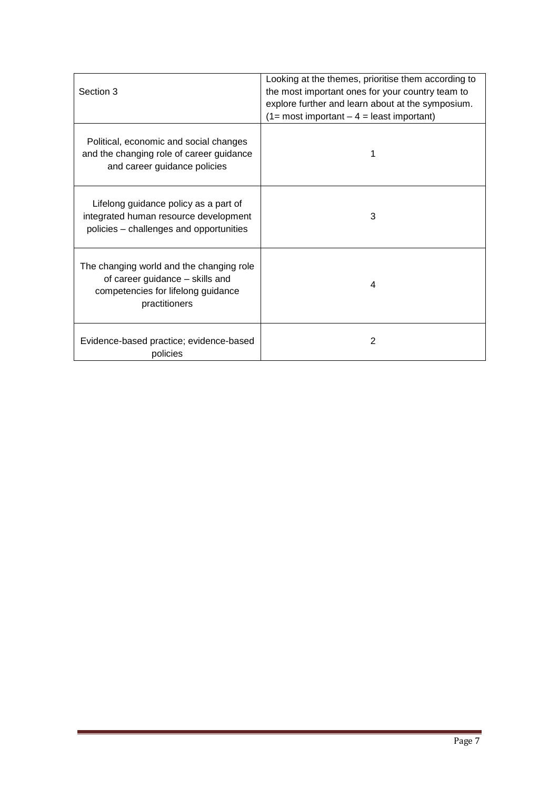|                                                                                                                                    | Looking at the themes, prioritise them according to |
|------------------------------------------------------------------------------------------------------------------------------------|-----------------------------------------------------|
| Section 3                                                                                                                          | the most important ones for your country team to    |
|                                                                                                                                    | explore further and learn about at the symposium.   |
|                                                                                                                                    | $(1=$ most important $-4=$ least important)         |
| Political, economic and social changes<br>and the changing role of career guidance<br>and career guidance policies                 |                                                     |
| Lifelong guidance policy as a part of<br>integrated human resource development<br>policies – challenges and opportunities          | 3                                                   |
| The changing world and the changing role<br>of career guidance - skills and<br>competencies for lifelong guidance<br>practitioners | 4                                                   |
| Evidence-based practice; evidence-based<br>policies                                                                                | 2                                                   |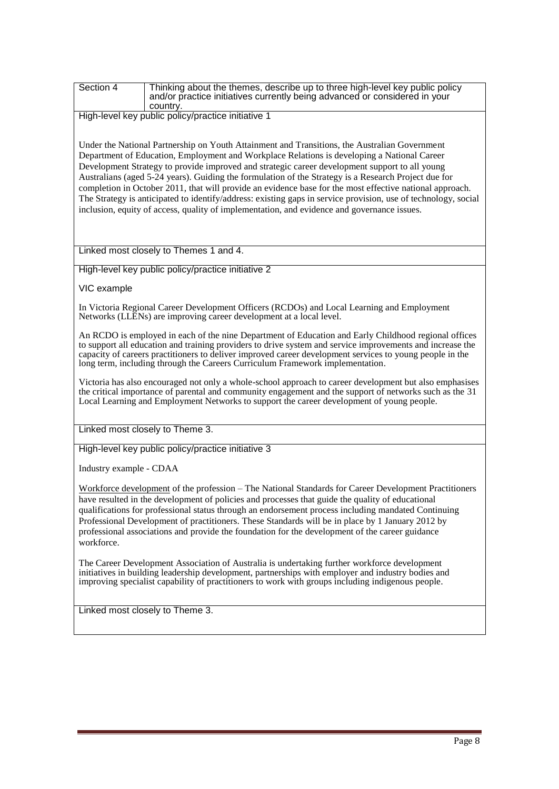| Section 4               | Thinking about the themes, describe up to three high-level key public policy<br>and/or practice initiatives currently being advanced or considered in your<br>country.                                                                                                                                                                                                                                                                                                                                                                                                                                                                                                                                                              |
|-------------------------|-------------------------------------------------------------------------------------------------------------------------------------------------------------------------------------------------------------------------------------------------------------------------------------------------------------------------------------------------------------------------------------------------------------------------------------------------------------------------------------------------------------------------------------------------------------------------------------------------------------------------------------------------------------------------------------------------------------------------------------|
|                         | High-level key public policy/practice initiative 1                                                                                                                                                                                                                                                                                                                                                                                                                                                                                                                                                                                                                                                                                  |
|                         | Under the National Partnership on Youth Attainment and Transitions, the Australian Government<br>Department of Education, Employment and Workplace Relations is developing a National Career<br>Development Strategy to provide improved and strategic career development support to all young<br>Australians (aged 5-24 years). Guiding the formulation of the Strategy is a Research Project due for<br>completion in October 2011, that will provide an evidence base for the most effective national approach.<br>The Strategy is anticipated to identify/address: existing gaps in service provision, use of technology, social<br>inclusion, equity of access, quality of implementation, and evidence and governance issues. |
|                         | Linked most closely to Themes 1 and 4.                                                                                                                                                                                                                                                                                                                                                                                                                                                                                                                                                                                                                                                                                              |
|                         | High-level key public policy/practice initiative 2                                                                                                                                                                                                                                                                                                                                                                                                                                                                                                                                                                                                                                                                                  |
| VIC example             |                                                                                                                                                                                                                                                                                                                                                                                                                                                                                                                                                                                                                                                                                                                                     |
|                         | In Victoria Regional Career Development Officers (RCDOs) and Local Learning and Employment<br>Networks (LLENs) are improving career development at a local level.                                                                                                                                                                                                                                                                                                                                                                                                                                                                                                                                                                   |
|                         | An RCDO is employed in each of the nine Department of Education and Early Childhood regional offices<br>to support all education and training providers to drive system and service improvements and increase the<br>capacity of careers practitioners to deliver improved career development services to young people in the<br>long term, including through the Careers Curriculum Framework implementation.                                                                                                                                                                                                                                                                                                                      |
|                         | Victoria has also encouraged not only a whole-school approach to career development but also emphasises<br>the critical importance of parental and community engagement and the support of networks such as the 31<br>Local Learning and Employment Networks to support the career development of young people.                                                                                                                                                                                                                                                                                                                                                                                                                     |
|                         | Linked most closely to Theme 3.                                                                                                                                                                                                                                                                                                                                                                                                                                                                                                                                                                                                                                                                                                     |
|                         | High-level key public policy/practice initiative 3                                                                                                                                                                                                                                                                                                                                                                                                                                                                                                                                                                                                                                                                                  |
| Industry example - CDAA |                                                                                                                                                                                                                                                                                                                                                                                                                                                                                                                                                                                                                                                                                                                                     |
| workforce.              | Workforce development of the profession – The National Standards for Career Development Practitioners<br>have resulted in the development of policies and processes that guide the quality of educational<br>qualifications for professional status through an endorsement process including mandated Continuing<br>Professional Development of practitioners. These Standards will be in place by 1 January 2012 by<br>professional associations and provide the foundation for the development of the career guidance                                                                                                                                                                                                             |
|                         | The Career Development Association of Australia is undertaking further workforce development<br>initiatives in building leadership development, partnerships with employer and industry bodies and<br>improving specialist capability of practitioners to work with groups including indigenous people.                                                                                                                                                                                                                                                                                                                                                                                                                             |
|                         | Linked most closely to Theme 3.                                                                                                                                                                                                                                                                                                                                                                                                                                                                                                                                                                                                                                                                                                     |
|                         |                                                                                                                                                                                                                                                                                                                                                                                                                                                                                                                                                                                                                                                                                                                                     |
|                         |                                                                                                                                                                                                                                                                                                                                                                                                                                                                                                                                                                                                                                                                                                                                     |
|                         |                                                                                                                                                                                                                                                                                                                                                                                                                                                                                                                                                                                                                                                                                                                                     |
|                         |                                                                                                                                                                                                                                                                                                                                                                                                                                                                                                                                                                                                                                                                                                                                     |
|                         |                                                                                                                                                                                                                                                                                                                                                                                                                                                                                                                                                                                                                                                                                                                                     |